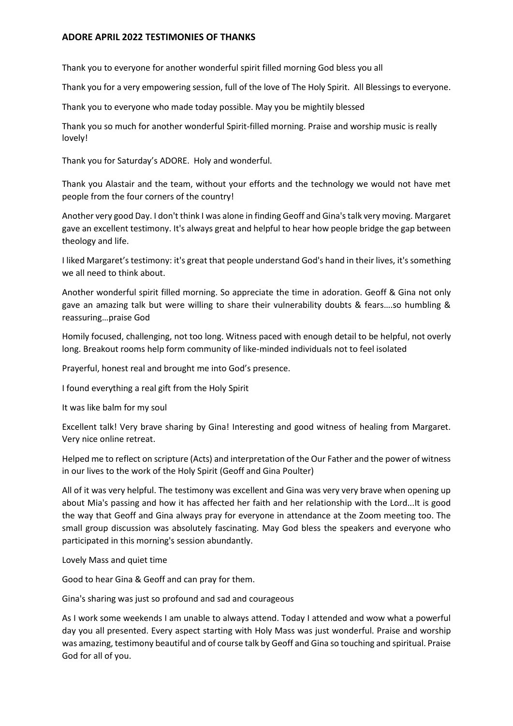## **ADORE APRIL 2022 TESTIMONIES OF THANKS**

Thank you to everyone for another wonderful spirit filled morning God bless you all

Thank you for a very empowering session, full of the love of The Holy Spirit. All Blessings to everyone.

Thank you to everyone who made today possible. May you be mightily blessed

Thank you so much for another wonderful Spirit-filled morning. Praise and worship music is really lovely!

Thank you for Saturday's ADORE. Holy and wonderful.

Thank you Alastair and the team, without your efforts and the technology we would not have met people from the four corners of the country!

Another very good Day. I don't think I was alone in finding Geoff and Gina's talk very moving. Margaret gave an excellent testimony. It's always great and helpful to hear how people bridge the gap between theology and life.

I liked Margaret's testimony: it's great that people understand God's hand in their lives, it's something we all need to think about.

Another wonderful spirit filled morning. So appreciate the time in adoration. Geoff & Gina not only gave an amazing talk but were willing to share their vulnerability doubts & fears….so humbling & reassuring…praise God

Homily focused, challenging, not too long. Witness paced with enough detail to be helpful, not overly long. Breakout rooms help form community of like-minded individuals not to feel isolated

Prayerful, honest real and brought me into God's presence.

I found everything a real gift from the Holy Spirit

It was like balm for my soul

Excellent talk! Very brave sharing by Gina! Interesting and good witness of healing from Margaret. Very nice online retreat.

Helped me to reflect on scripture (Acts) and interpretation of the Our Father and the power of witness in our lives to the work of the Holy Spirit (Geoff and Gina Poulter)

All of it was very helpful. The testimony was excellent and Gina was very very brave when opening up about Mia's passing and how it has affected her faith and her relationship with the Lord...It is good the way that Geoff and Gina always pray for everyone in attendance at the Zoom meeting too. The small group discussion was absolutely fascinating. May God bless the speakers and everyone who participated in this morning's session abundantly.

Lovely Mass and quiet time

Good to hear Gina & Geoff and can pray for them.

Gina's sharing was just so profound and sad and courageous

As I work some weekends I am unable to always attend. Today I attended and wow what a powerful day you all presented. Every aspect starting with Holy Mass was just wonderful. Praise and worship was amazing, testimony beautiful and of course talk by Geoff and Gina so touching and spiritual. Praise God for all of you.